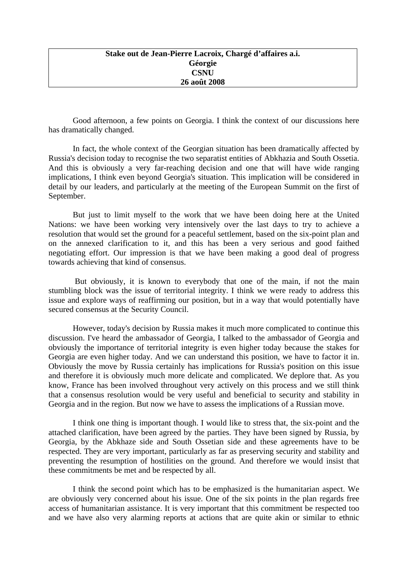Good afternoon, a few points on Georgia. I think the context of our discussions here has dramatically changed.

In fact, the whole context of the Georgian situation has been dramatically affected by Russia's decision today to recognise the two separatist entities of Abkhazia and South Ossetia. And this is obviously a very far-reaching decision and one that will have wide ranging implications, I think even beyond Georgia's situation. This implication will be considered in detail by our leaders, and particularly at the meeting of the European Summit on the first of September.

But just to limit myself to the work that we have been doing here at the United Nations: we have been working very intensively over the last days to try to achieve a resolution that would set the ground for a peaceful settlement, based on the six-point plan and on the annexed clarification to it, and this has been a very serious and good faithed negotiating effort. Our impression is that we have been making a good deal of progress towards achieving that kind of consensus.

 But obviously, it is known to everybody that one of the main, if not the main stumbling block was the issue of territorial integrity. I think we were ready to address this issue and explore ways of reaffirming our position, but in a way that would potentially have secured consensus at the Security Council.

However, today's decision by Russia makes it much more complicated to continue this discussion. I've heard the ambassador of Georgia, I talked to the ambassador of Georgia and obviously the importance of territorial integrity is even higher today because the stakes for Georgia are even higher today. And we can understand this position, we have to factor it in. Obviously the move by Russia certainly has implications for Russia's position on this issue and therefore it is obviously much more delicate and complicated. We deplore that. As you know, France has been involved throughout very actively on this process and we still think that a consensus resolution would be very useful and beneficial to security and stability in Georgia and in the region. But now we have to assess the implications of a Russian move.

I think one thing is important though. I would like to stress that, the six-point and the attached clarification, have been agreed by the parties. They have been signed by Russia, by Georgia, by the Abkhaze side and South Ossetian side and these agreements have to be respected. They are very important, particularly as far as preserving security and stability and preventing the resumption of hostilities on the ground. And therefore we would insist that these commitments be met and be respected by all.

I think the second point which has to be emphasized is the humanitarian aspect. We are obviously very concerned about his issue. One of the six points in the plan regards free access of humanitarian assistance. It is very important that this commitment be respected too and we have also very alarming reports at actions that are quite akin or similar to ethnic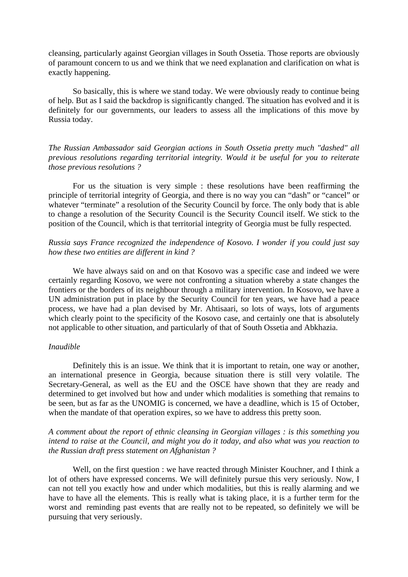cleansing, particularly against Georgian villages in South Ossetia. Those reports are obviously of paramount concern to us and we think that we need explanation and clarification on what is exactly happening.

So basically, this is where we stand today. We were obviously ready to continue being of help. But as I said the backdrop is significantly changed. The situation has evolved and it is definitely for our governments, our leaders to assess all the implications of this move by Russia today.

*The Russian Ambassador said Georgian actions in South Ossetia pretty much "dashed" all previous resolutions regarding territorial integrity. Would it be useful for you to reiterate those previous resolutions ?* 

For us the situation is very simple : these resolutions have been reaffirming the principle of territorial integrity of Georgia, and there is no way you can "dash" or "cancel" or whatever "terminate" a resolution of the Security Council by force. The only body that is able to change a resolution of the Security Council is the Security Council itself. We stick to the position of the Council, which is that territorial integrity of Georgia must be fully respected.

## *Russia says France recognized the independence of Kosovo. I wonder if you could just say how these two entities are different in kind ?*

We have always said on and on that Kosovo was a specific case and indeed we were certainly regarding Kosovo, we were not confronting a situation whereby a state changes the frontiers or the borders of its neighbour through a military intervention. In Kosovo, we have a UN administration put in place by the Security Council for ten years, we have had a peace process, we have had a plan devised by Mr. Ahtisaari, so lots of ways, lots of arguments which clearly point to the specificity of the Kosovo case, and certainly one that is absolutely not applicable to other situation, and particularly of that of South Ossetia and Abkhazia.

## *Inaudible*

Definitely this is an issue. We think that it is important to retain, one way or another, an international presence in Georgia, because situation there is still very volatile. The Secretary-General, as well as the EU and the OSCE have shown that they are ready and determined to get involved but how and under which modalities is something that remains to be seen, but as far as the UNOMIG is concerned, we have a deadline, which is 15 of October, when the mandate of that operation expires, so we have to address this pretty soon.

## *A comment about the report of ethnic cleansing in Georgian villages : is this something you intend to raise at the Council, and might you do it today, and also what was you reaction to the Russian draft press statement on Afghanistan ?*

Well, on the first question : we have reacted through Minister Kouchner, and I think a lot of others have expressed concerns. We will definitely pursue this very seriously. Now, I can not tell you exactly how and under which modalities, but this is really alarming and we have to have all the elements. This is really what is taking place, it is a further term for the worst and reminding past events that are really not to be repeated, so definitely we will be pursuing that very seriously.